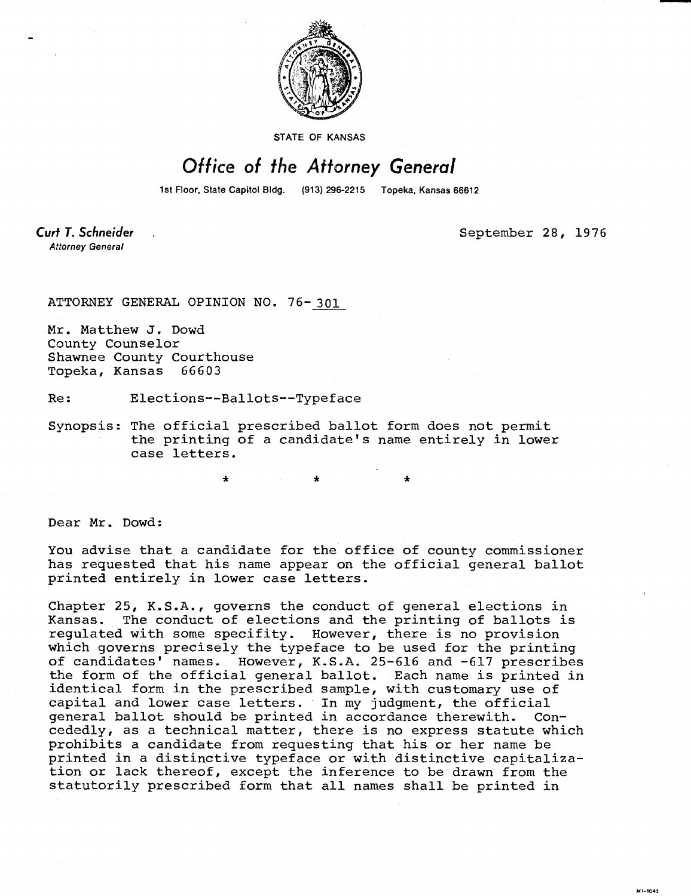

STATE OF KANSAS

## Office of the Attorney General

1st Floor, State Capitol Bldg. (913) 296-2215 Topeka, Kansas 66612

Curt T. Schneider **Attorney General** 

September 28, 1976

MI-1043

ATTORNEY GENERAL OPINION NO. 76-301

Mr. Matthew J. Dowd County Counselor Shawnee County Courthouse Topeka, Kansas 66603

Re: Elections--Ballots--Typeface

Synopsis: The official prescribed ballot form does not permit the printing of a candidate's name entirely in lower case letters.

Dear Mr. Dowd:

You advise that a candidate for the office of county commissioner has requested that his name appear on the official general ballot printed entirely in lower case letters.

Chapter 25, K.S.A., governs the conduct of general elections in Kansas. The conduct of elections and the printing of ballots is regulated with some specifity. However, there is no provision which governs precisely the typeface to be used for the printing of candidates' names. However, K.S.A. 25-616 and -617 prescribes the form of the official general ballot. Each name is printed in identical form in the prescribed sample, with customary use of capital and lower case letters. In my judgment, the official general ballot should be printed in accordance therewith. Concededly, as a technical matter, there is no express statute which prohibits a candidate from requesting that his or her name be printed in a distinctive typeface or with distinctive capitalization or lack thereof, except the inference to be drawn from the statutorily prescribed form that all names shall be printed in